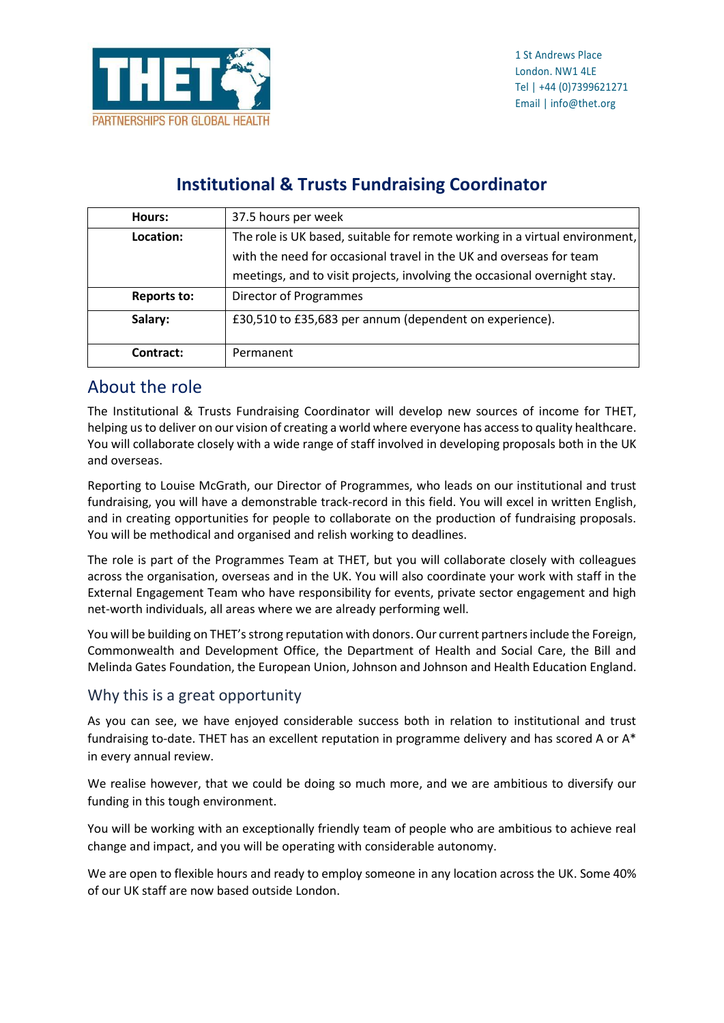

### **Institutional & Trusts Fundraising Coordinator**

| Hours:             | 37.5 hours per week                                                         |
|--------------------|-----------------------------------------------------------------------------|
| Location:          | The role is UK based, suitable for remote working in a virtual environment, |
|                    | with the need for occasional travel in the UK and overseas for team         |
|                    | meetings, and to visit projects, involving the occasional overnight stay.   |
| <b>Reports to:</b> | Director of Programmes                                                      |
| Salary:            | £30,510 to £35,683 per annum (dependent on experience).                     |
| Contract:          | Permanent                                                                   |

### About the role

The Institutional & Trusts Fundraising Coordinator will develop new sources of income for THET, helping us to deliver on our vision of creating a world where everyone has access to quality healthcare. You will collaborate closely with a wide range of staff involved in developing proposals both in the UK and overseas.

Reporting to Louise McGrath, our Director of Programmes, who leads on our institutional and trust fundraising, you will have a demonstrable track-record in this field. You will excel in written English, and in creating opportunities for people to collaborate on the production of fundraising proposals. You will be methodical and organised and relish working to deadlines.

The role is part of the Programmes Team at THET, but you will collaborate closely with colleagues across the organisation, overseas and in the UK. You will also coordinate your work with staff in the External Engagement Team who have responsibility for events, private sector engagement and high net-worth individuals, all areas where we are already performing well.

You will be building on THET's strong reputation with donors. Our current partners include the Foreign, Commonwealth and Development Office, the Department of Health and Social Care, the Bill and Melinda Gates Foundation, the European Union, Johnson and Johnson and Health Education England.

### Why this is a great opportunity

As you can see, we have enjoyed considerable success both in relation to institutional and trust fundraising to-date. THET has an excellent reputation in programme delivery and has scored A or A\* in every annual review.

We realise however, that we could be doing so much more, and we are ambitious to diversify our funding in this tough environment.

You will be working with an exceptionally friendly team of people who are ambitious to achieve real change and impact, and you will be operating with considerable autonomy.

We are open to flexible hours and ready to employ someone in any location across the UK. Some 40% of our UK staff are now based outside London.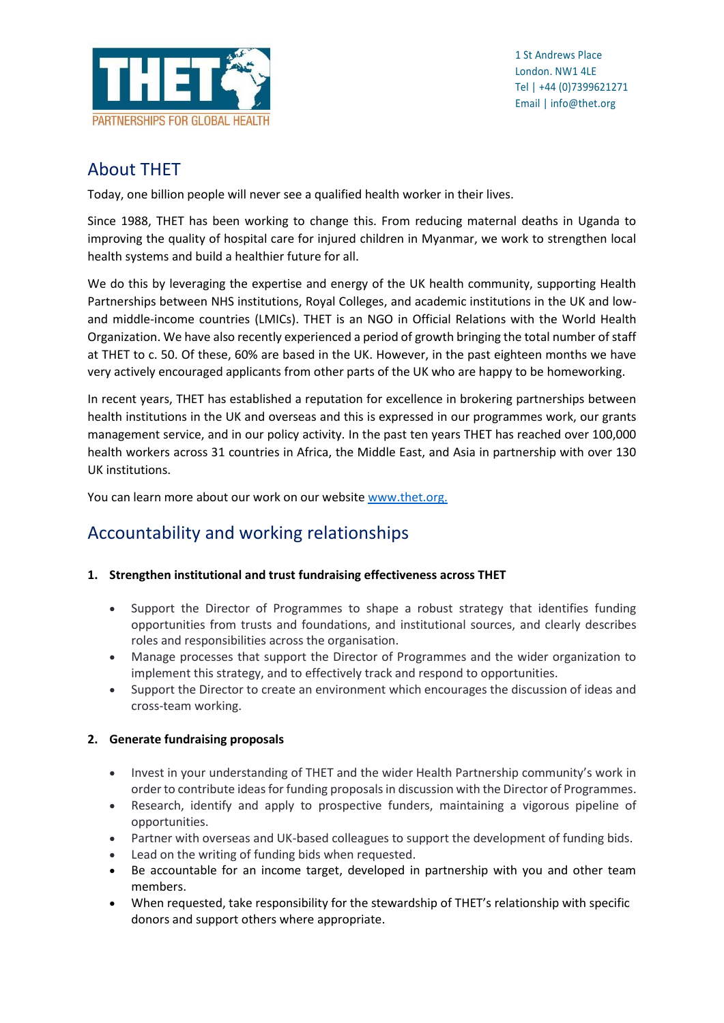

## About THET

Today, one billion people will never see a qualified health worker in their lives.

Since 1988, THET has been working to change this. From reducing maternal deaths in Uganda to improving the quality of hospital care for injured children in Myanmar, we work to strengthen local health systems and build a healthier future for all.

We do this by leveraging the expertise and energy of the UK health community, supporting Health Partnerships between NHS institutions, Royal Colleges, and academic institutions in the UK and lowand middle-income countries (LMICs). THET is an NGO in Official Relations with the World Health Organization. We have also recently experienced a period of growth bringing the total number of staff at THET to c. 50. Of these, 60% are based in the UK. However, in the past eighteen months we have very actively encouraged applicants from other parts of the UK who are happy to be homeworking.

In recent years, THET has established a reputation for excellence in brokering partnerships between health institutions in the UK and overseas and this is expressed in our programmes work, our grants management service, and in our policy activity. In the past ten years THET has reached over 100,000 health workers across 31 countries in Africa, the Middle East, and Asia in partnership with over 130 UK institutions.

You can learn more about our work on our websit[e www.thet.org.](http://www.thet.org/)

# Accountability and working relationships

### **1. Strengthen institutional and trust fundraising effectiveness across THET**

- Support the Director of Programmes to shape a robust strategy that identifies funding opportunities from trusts and foundations, and institutional sources, and clearly describes roles and responsibilities across the organisation.
- Manage processes that support the Director of Programmes and the wider organization to implement this strategy, and to effectively track and respond to opportunities.
- Support the Director to create an environment which encourages the discussion of ideas and cross-team working.

### **2. Generate fundraising proposals**

- Invest in your understanding of THET and the wider Health Partnership community's work in order to contribute ideas for funding proposalsin discussion with the Director of Programmes.
- Research, identify and apply to prospective funders, maintaining a vigorous pipeline of opportunities.
- Partner with overseas and UK-based colleagues to support the development of funding bids.
- Lead on the writing of funding bids when requested.
- Be accountable for an income target, developed in partnership with you and other team members.
- When requested, take responsibility for the stewardship of THET's relationship with specific donors and support others where appropriate.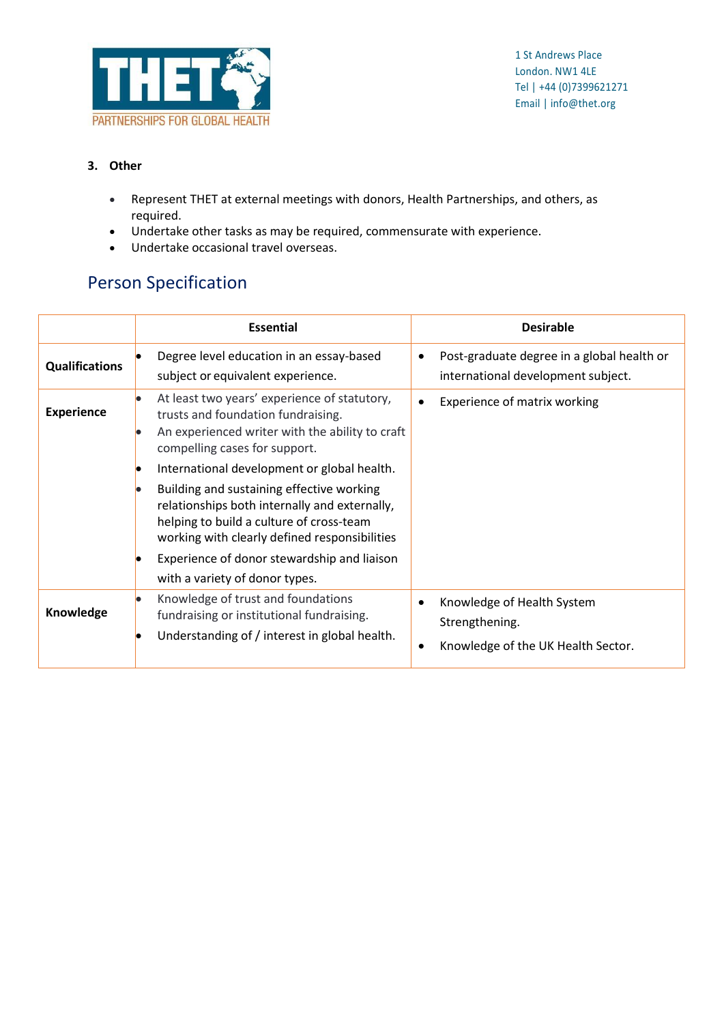

#### **3. Other**

- Represent THET at external meetings with donors, Health Partnerships, and others, as required.
- Undertake other tasks as may be required, commensurate with experience.
- Undertake occasional travel overseas.

## Person Specification

|                       | <b>Essential</b>                                                                                                                                                                                                                                                                                                    | <b>Desirable</b>                                                                                |
|-----------------------|---------------------------------------------------------------------------------------------------------------------------------------------------------------------------------------------------------------------------------------------------------------------------------------------------------------------|-------------------------------------------------------------------------------------------------|
| <b>Qualifications</b> | Degree level education in an essay-based<br>subject or equivalent experience.                                                                                                                                                                                                                                       | Post-graduate degree in a global health or<br>$\bullet$<br>international development subject.   |
| <b>Experience</b>     | At least two years' experience of statutory,<br>trusts and foundation fundraising.<br>An experienced writer with the ability to craft<br>compelling cases for support.<br>International development or global health.<br>Building and sustaining effective working<br>relationships both internally and externally, | Experience of matrix working<br>$\bullet$                                                       |
|                       | helping to build a culture of cross-team<br>working with clearly defined responsibilities<br>Experience of donor stewardship and liaison<br>with a variety of donor types.                                                                                                                                          |                                                                                                 |
| Knowledge             | Knowledge of trust and foundations<br>fundraising or institutional fundraising.<br>Understanding of / interest in global health.                                                                                                                                                                                    | Knowledge of Health System<br>Strengthening.<br>Knowledge of the UK Health Sector.<br>$\bullet$ |